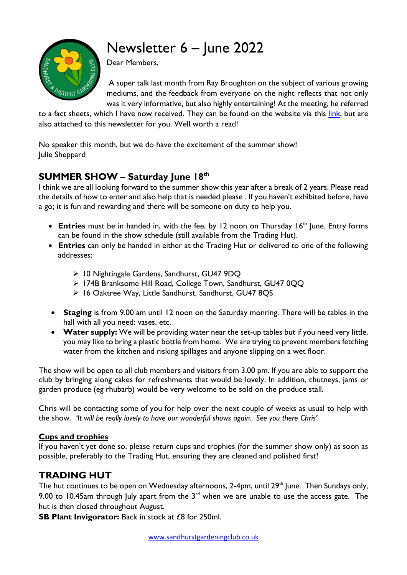# Newsletter 6 – June 2022



Dear Members,

A super talk last month from Ray Broughton on the subject of various growing mediums, and the feedback from everyone on the night reflects that not only was it very informative, but also highly entertaining! At the meeting, he referred

to a fact sheets, which I have now received. They can be found on the website via this [link,](http://www.sandhurstgardeningclub.co.uk/download.html) but are also attached to this newsletter for you. Well worth a read!

No speaker this month, but we do have the excitement of the summer show! Julie Sheppard

# **SUMMER SHOW – Saturday June 18th**

I think we are all looking forward to the summer show this year after a break of 2 years. Please read the details of how to enter and also help that is needed please . If you haven't exhibited before, have a go; it is fun and rewarding and there will be someone on duty to help you.

- **Entries** must be in handed in, with the fee, by 12 noon on Thursday 16<sup>th</sup> June. Entry forms can be found in the show schedule (still available from the Trading Hut).
- **Entries** can only be handed in either at the Trading Hut or delivered to one of the following addresses:
	- ➢ 10 Nightingale Gardens, Sandhurst, GU47 9DQ
	- ➢ 174B Branksome Hill Road, College Town, Sandhurst, GU47 0QQ
	- ➢ 16 Oaktree Way, Little Sandhurst, Sandhurst, GU47 8QS
- **Staging** is from 9.00 am until 12 noon on the Saturday monring. There will be tables in the hall with all you need: vases, etc.
- **Water supply:** We will be providing water near the set-up tables but if you need very little, you may like to bring a plastic bottle from home. We are trying to prevent members fetching water from the kitchen and risking spillages and anyone slipping on a wet floor.

The show will be open to all club members and visitors from 3.00 pm. If you are able to support the club by bringing along cakes for refreshments that would be lovely. In addition, chutneys, jams or garden produce (eg rhubarb) would be very welcome to be sold on the produce stall.

Chris will be contacting some of you for help over the next couple of weeks as usual to help with the show. *'It will be really lovely to have our wonderful shows again. See you there Chris'.*

#### **Cups and trophies**

If you haven't yet done so, please return cups and trophies (for the summer show only) as soon as possible, preferably to the Trading Hut, ensuring they are cleaned and polished first!

# **TRADING HUT**

The hut continues to be open on Wednesday afternoons, 2-4pm, until 29<sup>th</sup> June. Then Sundays only, 9.00 to 10.45am through July apart from the  $3<sup>rd</sup>$  when we are unable to use the access gate. The hut is then closed throughout August.

**SB Plant Invigorator:** Back in stock at £8 for 250ml.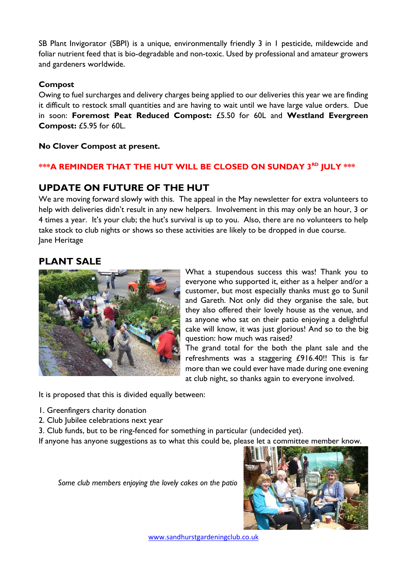SB Plant Invigorator (SBPI) is a unique, environmentally friendly 3 in 1 pesticide, mildewcide and foliar nutrient feed that is bio-degradable and non-toxic. Used by professional and amateur growers and gardeners worldwide.

#### **Compost**

Owing to fuel surcharges and delivery charges being applied to our deliveries this year we are finding it difficult to restock small quantities and are having to wait until we have large value orders. Due in soon: **Foremost Peat Reduced Compost:** £5.50 for 60L and **Westland Evergreen Compost:** £5.95 for 60L.

**No Clover Compost at present.**

#### **\*\*\*A REMINDER THAT THE HUT WILL BE CLOSED ON SUNDAY 3RD JULY \*\*\***

### **UPDATE ON FUTURE OF THE HUT**

We are moving forward slowly with this. The appeal in the May newsletter for extra volunteers to help with deliveries didn't result in any new helpers. Involvement in this may only be an hour, 3 or 4 times a year. It's your club; the hut's survival is up to you. Also, there are no volunteers to help take stock to club nights or shows so these activities are likely to be dropped in due course. Jane Heritage

#### **PLANT SALE**



What a stupendous success this was! Thank you to everyone who supported it, either as a helper and/or a customer, but most especially thanks must go to Sunil and Gareth. Not only did they organise the sale, but they also offered their lovely house as the venue, and as anyone who sat on their patio enjoying a delightful cake will know, it was just glorious! And so to the big question: how much was raised?

The grand total for the both the plant sale and the refreshments was a staggering £916.40!! This is far more than we could ever have made during one evening at club night, so thanks again to everyone involved.

It is proposed that this is divided equally between:

- 1. Greenfingers charity donation
- 2. Club Jubilee celebrations next year
- 3. Club funds, but to be ring-fenced for something in particular (undecided yet).

If anyone has anyone suggestions as to what this could be, please let a committee member know.

*Some club members enjoying the lovely cakes on the patio* 



[www.sandhurstgardeningclub.co.uk](http://www.sandhurstgardeningclub.co.uk/)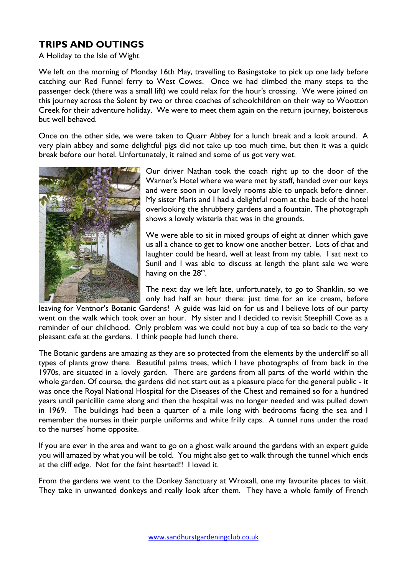# **TRIPS AND OUTINGS**

A Holiday to the Isle of Wight

We left on the morning of Monday 16th May, travelling to Basingstoke to pick up one lady before catching our Red Funnel ferry to West Cowes. Once we had climbed the many steps to the passenger deck (there was a small lift) we could relax for the hour's crossing. We were joined on this journey across the Solent by two or three coaches of schoolchildren on their way to Wootton Creek for their adventure holiday. We were to meet them again on the return journey, boisterous but well behaved.

Once on the other side, we were taken to Quarr Abbey for a lunch break and a look around. A very plain abbey and some delightful pigs did not take up too much time, but then it was a quick break before our hotel. Unfortunately, it rained and some of us got very wet.



Our driver Nathan took the coach right up to the door of the Warner's Hotel where we were met by staff, handed over our keys and were soon in our lovely rooms able to unpack before dinner. My sister Maris and I had a delightful room at the back of the hotel overlooking the shrubbery gardens and a fountain. The photograph shows a lovely wisteria that was in the grounds.

We were able to sit in mixed groups of eight at dinner which gave us all a chance to get to know one another better. Lots of chat and laughter could be heard, well at least from my table. I sat next to Sunil and I was able to discuss at length the plant sale we were having on the  $28<sup>th</sup>$ .

The next day we left late, unfortunately, to go to Shanklin, so we only had half an hour there: just time for an ice cream, before

leaving for Ventnor's Botanic Gardens! A guide was laid on for us and I believe lots of our party went on the walk which took over an hour. My sister and I decided to revisit Steephill Cove as a reminder of our childhood. Only problem was we could not buy a cup of tea so back to the very pleasant cafe at the gardens. I think people had lunch there.

The Botanic gardens are amazing as they are so protected from the elements by the undercliff so all types of plants grow there. Beautiful palms trees, which I have photographs of from back in the 1970s, are situated in a lovely garden. There are gardens from all parts of the world within the whole garden. Of course, the gardens did not start out as a pleasure place for the general public - it was once the Royal National Hospital for the Diseases of the Chest and remained so for a hundred years until penicillin came along and then the hospital was no longer needed and was pulled down in 1969. The buildings had been a quarter of a mile long with bedrooms facing the sea and I remember the nurses in their purple uniforms and white frilly caps. A tunnel runs under the road to the nurses' home opposite.

If you are ever in the area and want to go on a ghost walk around the gardens with an expert guide you will amazed by what you will be told. You might also get to walk through the tunnel which ends at the cliff edge. Not for the faint hearted!! I loved it.

From the gardens we went to the Donkey Sanctuary at Wroxall, one my favourite places to visit. They take in unwanted donkeys and really look after them. They have a whole family of French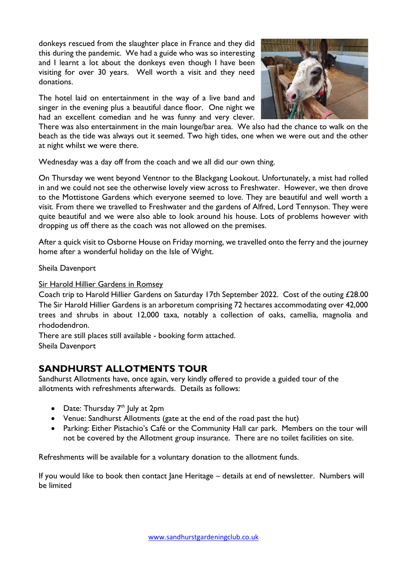donkeys rescued from the slaughter place in France and they did this during the pandemic. We had a guide who was so interesting and I learnt a lot about the donkeys even though I have been visiting for over 30 years. Well worth a visit and they need donations.

The hotel laid on entertainment in the way of a live band and singer in the evening plus a beautiful dance floor. One night we had an excellent comedian and he was funny and very clever.



There was also entertainment in the main lounge/bar area. We also had the chance to walk on the beach as the tide was always out it seemed. Two high tides, one when we were out and the other at night whilst we were there.

Wednesday was a day off from the coach and we all did our own thing.

On Thursday we went beyond Ventnor to the Blackgang Lookout. Unfortunately, a mist had rolled in and we could not see the otherwise lovely view across to Freshwater. However, we then drove to the Mottistone Gardens which everyone seemed to love. They are beautiful and well worth a visit. From there we travelled to Freshwater and the gardens of Alfred, Lord Tennyson. They were quite beautiful and we were also able to look around his house. Lots of problems however with dropping us off there as the coach was not allowed on the premises.

After a quick visit to Osborne House on Friday morning, we travelled onto the ferry and the journey home after a wonderful holiday on the Isle of Wight.

Sheila Davenport

Sir Harold Hillier Gardens in Romsey

Coach trip to Harold Hillier Gardens on Saturday 17th September 2022. Cost of the outing £28.00 The Sir Harold Hillier Gardens is an arboretum comprising 72 hectares accommodating over 42,000 trees and shrubs in about 12,000 taxa, notably a collection of oaks, camellia, magnolia and rhododendron.

There are still places still available - booking form attached. Sheila Davenport

## **SANDHURST ALLOTMENTS TOUR**

Sandhurst Allotments have, once again, very kindly offered to provide a guided tour of the allotments with refreshments afterwards. Details as follows:

- Date: Thursday  $7<sup>th</sup>$  July at 2pm
- Venue: Sandhurst Allotments (gate at the end of the road past the hut)
- Parking: Either Pistachio's Café or the Community Hall car park. Members on the tour will not be covered by the Allotment group insurance. There are no toilet facilities on site.

Refreshments will be available for a voluntary donation to the allotment funds.

If you would like to book then contact Jane Heritage – details at end of newsletter. Numbers will be limited